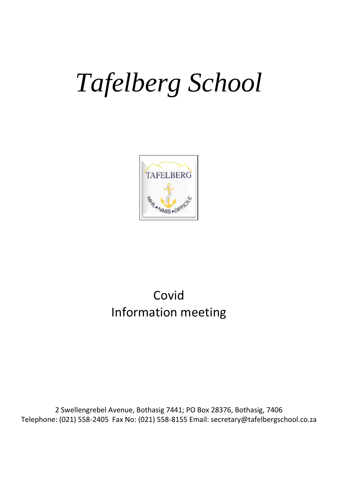# *Tafelberg School*



# Covid Information meeting

2 Swellengrebel Avenue, Bothasig 7441; PO Box 28376, Bothasig, 7406 Telephone: (021) 558-2405 Fax No: (021) 558-8155 Email: secretary@tafelbergschool.co.za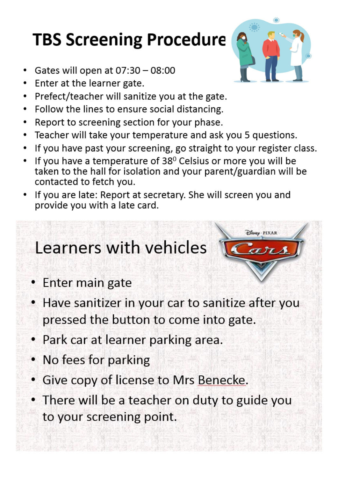# **TBS Screening Procedure**

- Gates will open at 07:30 08:00  $\bullet$
- Enter at the learner gate.
- Prefect/teacher will sanitize you at the gate.  $\bullet$
- Follow the lines to ensure social distancing.
- Report to screening section for your phase.
- Teacher will take your temperature and ask you 5 questions.
- If you have past your screening, go straight to your register class.
- If you have a temperature of 38<sup>0</sup> Celsius or more you will be taken to the hall for isolation and your parent/guardian will be contacted to fetch you.
- If you are late: Report at secretary. She will screen you and provide you with a late card.

# Learners with vehicles

- Enter main gate
- Have sanitizer in your car to sanitize after you pressed the button to come into gate.
- Park car at learner parking area.
- No fees for parking
- Give copy of license to Mrs Benecke.
- There will be a teacher on duty to guide you to your screening point.



Disney PIXAR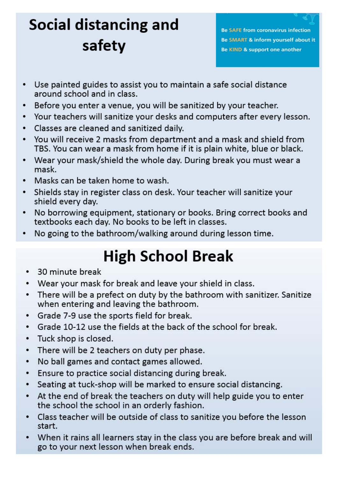# **Social distancing and** safety

**Be SAFE from coronavirus infection** Be SMART & inform yourself about it Be KIND & support one another

- Use painted guides to assist you to maintain a safe social distance around school and in class.
- Before you enter a venue, you will be sanitized by your teacher.  $\bullet$
- Your teachers will sanitize your desks and computers after every lesson.
- Classes are cleaned and sanitized daily.
- You will receive 2 masks from department and a mask and shield from  $\bullet$ TBS. You can wear a mask from home if it is plain white, blue or black.
- Wear your mask/shield the whole day. During break you must wear a mask.
- Masks can be taken home to wash.  $\bullet$
- Shields stay in register class on desk. Your teacher will sanitize your shield every day.
- No borrowing equipment, stationary or books. Bring correct books and textbooks each day. No books to be left in classes.
- No going to the bathroom/walking around during lesson time.

# **High School Break**

- 30 minute break  $\bullet$
- Wear your mask for break and leave your shield in class.  $\bullet$
- There will be a prefect on duty by the bathroom with sanitizer. Sanitize  $\bullet$ when entering and leaving the bathroom.
- Grade 7-9 use the sports field for break.  $\bullet$
- Grade 10-12 use the fields at the back of the school for break.
- Tuck shop is closed.
- There will be 2 teachers on duty per phase.  $\bullet$
- No ball games and contact games allowed.  $\bullet$
- Ensure to practice social distancing during break.  $\bullet$
- Seating at tuck-shop will be marked to ensure social distancing.
- At the end of break the teachers on duty will help guide you to enter the school the school in an orderly fashion.
- Class teacher will be outside of class to sanitize you before the lesson  $\bullet$ start.
- When it rains all learners stay in the class you are before break and will go to your next lesson when break ends.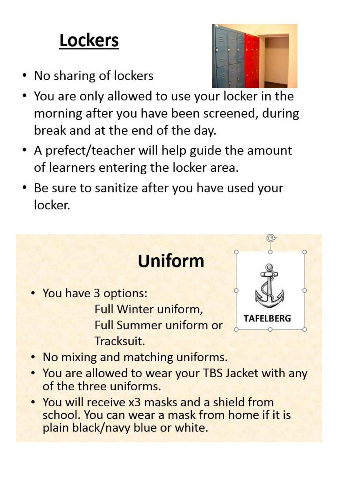# **Lockers**

- No sharing of lockers
- You are only allowed to use your locker in the morning after you have been screened, during break and at the end of the day.
- A prefect/teacher will help guide the amount of learners entering the locker area.
- Be sure to sanitize after you have used your locker.

• You have 3 options: **Full Winter uniform, Full Summer uniform or** Tracksuit.



- No mixing and matching uniforms.
- . You are allowed to wear your TBS Jacket with any of the three uniforms.

**Uniform** 

• You will receive x3 masks and a shield from school. You can wear a mask from home if it is plain black/navy blue or white.

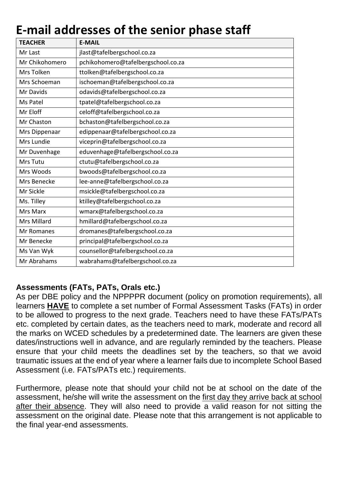# **E-mail addresses of the senior phase staff**

| <b>TEACHER</b>     | <b>E-MAIL</b>                      |
|--------------------|------------------------------------|
| Mr Last            | jlast@tafelbergschool.co.za        |
| Mr Chikohomero     | pchikohomero@tafelbergschool.co.za |
| Mrs Tolken         | ttolken@tafelbergschool.co.za      |
| Mrs Schoeman       | ischoeman@tafelbergschool.co.za    |
| Mr Davids          | odavids@tafelbergschool.co.za      |
| Ms Patel           | tpatel@tafelbergschool.co.za       |
| Mr Eloff           | celoff@tafelbergschool.co.za       |
| Mr Chaston         | bchaston@tafelbergschool.co.za     |
| Mrs Dippenaar      | edippenaar@tafelbergschool.co.za   |
| Mrs Lundie         | viceprin@tafelbergschool.co.za     |
| Mr Duvenhage       | eduvenhage@tafelbergschool.co.za   |
| Mrs Tutu           | ctutu@tafelbergschool.co.za        |
| Mrs Woods          | bwoods@tafelbergschool.co.za       |
| Mrs Benecke        | lee-anne@tafelbergschool.co.za     |
| Mr Sickle          | msickle@tafelbergschool.co.za      |
| Ms. Tilley         | ktilley@tafelbergschool.co.za      |
| Mrs Marx           | wmarx@tafelbergschool.co.za        |
| <b>Mrs Millard</b> | hmillard@tafelbergschool.co.za     |
| Mr Romanes         | dromanes@tafelbergschool.co.za     |
| Mr Benecke         | principal@tafelbergschool.co.za    |
| Ms Van Wyk         | counsellor@tafelbergschool.co.za   |
| Mr Abrahams        | wabrahams@tafelbergschool.co.za    |

## **Assessments (FATs, PATs, Orals etc.)**

As per DBE policy and the NPPPPR document (policy on promotion requirements), all learners **HAVE** to complete a set number of Formal Assessment Tasks (FATs) in order to be allowed to progress to the next grade. Teachers need to have these FATs/PATs etc. completed by certain dates, as the teachers need to mark, moderate and record all the marks on WCED schedules by a predetermined date. The learners are given these dates/instructions well in advance, and are regularly reminded by the teachers. Please ensure that your child meets the deadlines set by the teachers, so that we avoid traumatic issues at the end of year where a learner fails due to incomplete School Based Assessment (i.e. FATs/PATs etc.) requirements.

Furthermore, please note that should your child not be at school on the date of the assessment, he/she will write the assessment on the first day they arrive back at school after their absence. They will also need to provide a valid reason for not sitting the assessment on the original date. Please note that this arrangement is not applicable to the final year-end assessments.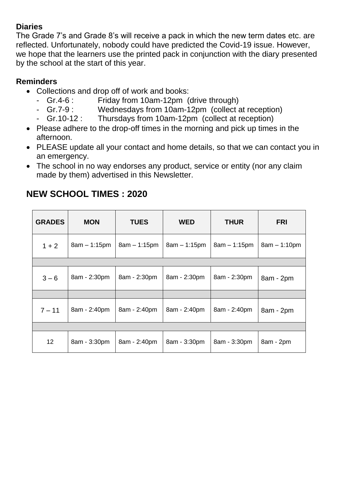#### **Diaries**

The Grade 7's and Grade 8's will receive a pack in which the new term dates etc. are reflected. Unfortunately, nobody could have predicted the Covid-19 issue. However, we hope that the learners use the printed pack in conjunction with the diary presented by the school at the start of this year.

### **Reminders**

- Collections and drop off of work and books:
	- Gr.4-6 : Friday from 10am-12pm (drive through)
	- Gr.7-9 : Wednesdays from 10am-12pm (collect at reception)
	- Gr.10-12 : Thursdays from 10am-12pm (collect at reception)
- Please adhere to the drop-off times in the morning and pick up times in the afternoon.
- PLEASE update all your contact and home details, so that we can contact you in an emergency.
- The school in no way endorses any product, service or entity (nor any claim made by them) advertised in this Newsletter.

| <b>GRADES</b>   | <b>MON</b>     | <b>TUES</b>    | <b>WED</b>     | <b>THUR</b>    | <b>FRI</b>     |
|-----------------|----------------|----------------|----------------|----------------|----------------|
| $1 + 2$         | $8am - 1:15pm$ | $8am - 1:15pm$ | $8am - 1:15pm$ | $8am - 1:15pm$ | $8am - 1:10pm$ |
|                 |                |                |                |                |                |
| $3 - 6$         | 8am - 2:30pm   | 8am - 2:30pm   | 8am - 2:30pm   | 8am - 2:30pm   | 8am - 2pm      |
|                 |                |                |                |                |                |
| $7 - 11$        | 8am - 2:40pm   | 8am - 2:40pm   | 8am - 2:40pm   | 8am - 2:40pm   | 8am - 2pm      |
|                 |                |                |                |                |                |
| 12 <sup>2</sup> | 8am - 3:30pm   | 8am - 2:40pm   | 8am - 3:30pm   | 8am - 3:30pm   | 8am - 2pm      |

## **NEW SCHOOL TIMES : 2020**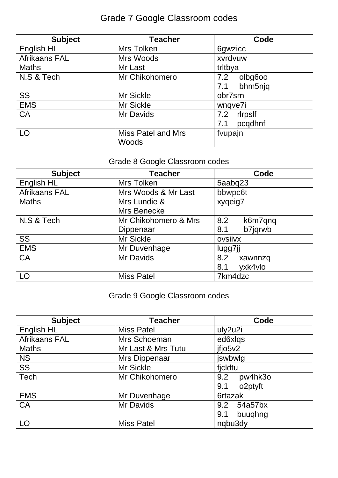# Grade 7 Google Classroom codes

| <b>Subject</b> | <b>Teacher</b>            | Code           |
|----------------|---------------------------|----------------|
| English HL     | Mrs Tolken                | 6gwzicc        |
| Afrikaans FAL  | Mrs Woods                 | xvrdvuw        |
| <b>Maths</b>   | Mr Last                   | tritbya        |
| N.S & Tech     | Mr Chikohomero            | olbg6oo<br>7.2 |
|                |                           | bhm5njq<br>7.1 |
| <b>SS</b>      | Mr Sickle                 | obr7srn        |
| <b>EMS</b>     | <b>Mr Sickle</b>          | wnqve7i        |
| <b>CA</b>      | Mr Davids                 | rlrpslf<br>7.2 |
|                |                           | pcqdhnf<br>7.1 |
| LO             | <b>Miss Patel and Mrs</b> | fvupajn        |
|                | Woods                     |                |

# Grade 8 Google Classroom codes

| <b>Subject</b> | <b>Teacher</b>       | Code           |
|----------------|----------------------|----------------|
| English HL     | Mrs Tolken           | 5aabq23        |
| Afrikaans FAL  | Mrs Woods & Mr Last  | bbwpc6t        |
| <b>Maths</b>   | Mrs Lundie &         | xyqeig7        |
|                | Mrs Benecke          |                |
| N.S & Tech     | Mr Chikohomero & Mrs | k6m7qnq<br>8.2 |
|                | Dippenaar            | b7jqrwb<br>8.1 |
| SS             | <b>Mr Sickle</b>     | ovsiivx        |
| <b>EMS</b>     | Mr Duvenhage         | lugg7jj        |
| CA             | Mr Davids            | 8.2<br>xawnnzq |
|                |                      | yxk4vlo<br>8.1 |
| LO             | <b>Miss Patel</b>    | 7km4dzc        |

## Grade 9 Google Classroom codes

| <b>Subject</b> | <b>Teacher</b>     | Code           |
|----------------|--------------------|----------------|
| English HL     | <b>Miss Patel</b>  | uly2u2i        |
| Afrikaans FAL  | Mrs Schoeman       | ed6xlqs        |
| <b>Maths</b>   | Mr Last & Mrs Tutu | jfjo5v2        |
| <b>NS</b>      | Mrs Dippenaar      | jswbwlg        |
| SS             | Mr Sickle          | ficldtu        |
| Tech           | Mr Chikohomero     | pw4hk3o<br>9.2 |
|                |                    | o2ptyft<br>9.1 |
| <b>EMS</b>     | Mr Duvenhage       | 6rtazak        |
| CA             | Mr Davids          | 54a57bx<br>9.2 |
|                |                    | buughng<br>9.1 |
| LO             | <b>Miss Patel</b>  | ngbu3dy        |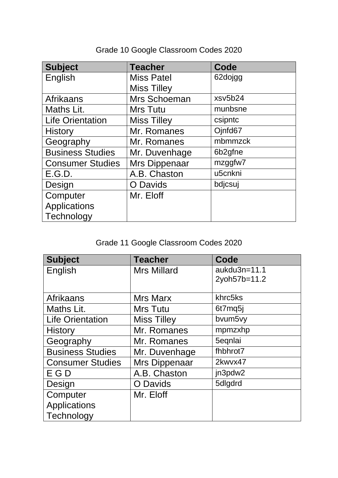| <b>Subject</b>          | <b>Teacher</b>     | Code    |
|-------------------------|--------------------|---------|
| English                 | <b>Miss Patel</b>  | 62dojgg |
|                         | <b>Miss Tilley</b> |         |
| Afrikaans               | Mrs Schoeman       | xsv5b24 |
| Maths Lit.              | <b>Mrs Tutu</b>    | munbsne |
| <b>Life Orientation</b> | <b>Miss Tilley</b> | csipntc |
| <b>History</b>          | Mr. Romanes        | Ojnfd67 |
| Geography               | Mr. Romanes        | mbmmzck |
| <b>Business Studies</b> | Mr. Duvenhage      | 6b2gfne |
| <b>Consumer Studies</b> | Mrs Dippenaar      | mzggfw7 |
| E.G.D.                  | A.B. Chaston       | u5cnkni |
| Design                  | O Davids           | bdjcsuj |
| Computer                | Mr. Eloff          |         |
| Applications            |                    |         |
| Technology              |                    |         |

# Grade 10 Google Classroom Codes 2020

# Grade 11 Google Classroom Codes 2020

| <b>Subject</b>          | <b>Teacher</b>     | Code         |
|-------------------------|--------------------|--------------|
| English                 | <b>Mrs Millard</b> | aukdu3n=11.1 |
|                         |                    | 2yoh57b=11.2 |
|                         |                    |              |
| <b>Afrikaans</b>        | Mrs Marx           | khrc5ks      |
| Maths Lit.              | <b>Mrs Tutu</b>    | 6t7mq5j      |
| <b>Life Orientation</b> | <b>Miss Tilley</b> | bvum5vy      |
| <b>History</b>          | Mr. Romanes        | mpmzxhp      |
| Geography               | Mr. Romanes        | 5eqnlai      |
| <b>Business Studies</b> | Mr. Duvenhage      | fhbhrot7     |
| <b>Consumer Studies</b> | Mrs Dippenaar      | 2kwyx47      |
| E G D                   | A.B. Chaston       | jn3pdw2      |
| Design                  | <b>O</b> Davids    | 5dlgdrd      |
| Computer                | Mr. Eloff          |              |
| <b>Applications</b>     |                    |              |
| Technology              |                    |              |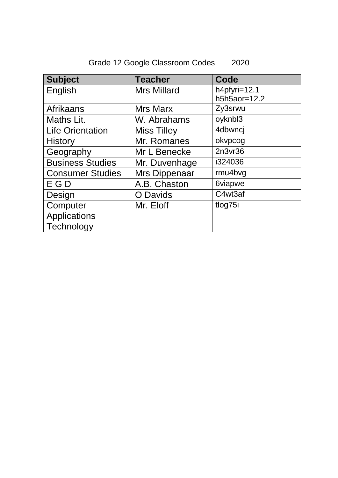| <b>Subject</b>          | <b>Teacher</b>     | Code           |
|-------------------------|--------------------|----------------|
| English                 | <b>Mrs Millard</b> | h4pfyri=12.1   |
|                         |                    | $h5h5a0r=12.2$ |
| <b>Afrikaans</b>        | <b>Mrs Marx</b>    | Zy3srwu        |
| Maths Lit.              | W. Abrahams        | oyknbl3        |
| <b>Life Orientation</b> | <b>Miss Tilley</b> | 4dbwncj        |
| <b>History</b>          | Mr. Romanes        | okvpcog        |
| Geography               | Mr L Benecke       | 2n3vr36        |
| <b>Business Studies</b> | Mr. Duvenhage      | i324036        |
| <b>Consumer Studies</b> | Mrs Dippenaar      | rmu4bvg        |
| E G D                   | A.B. Chaston       | 6viapwe        |
| Design                  | O Davids           | C4wt3af        |
| Computer                | Mr. Eloff          | tlog75i        |
| <b>Applications</b>     |                    |                |
| Technology              |                    |                |

# Grade 12 Google Classroom Codes 2020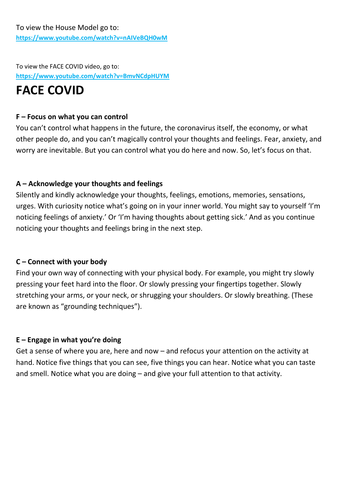To view the FACE COVID video, go to: **<https://www.youtube.com/watch?v=BmvNCdpHUYM>**

# **FACE COVID**

#### **F – Focus on what you can control**

You can't control what happens in the future, the coronavirus itself, the economy, or what other people do, and you can't magically control your thoughts and feelings. Fear, anxiety, and worry are inevitable. But you can control what you do here and now. So, let's focus on that.

### **A – Acknowledge your thoughts and feelings**

Silently and kindly acknowledge your thoughts, feelings, emotions, memories, sensations, urges. With curiosity notice what's going on in your inner world. You might say to yourself 'I'm noticing feelings of anxiety.' Or 'I'm having thoughts about getting sick.' And as you continue noticing your thoughts and feelings bring in the next step.

### **C – Connect with your body**

Find your own way of connecting with your physical body. For example, you might try slowly pressing your feet hard into the floor. Or slowly pressing your fingertips together. Slowly stretching your arms, or your neck, or shrugging your shoulders. Or slowly breathing. (These are known as "grounding techniques").

### **E – Engage in what you're doing**

Get a sense of where you are, here and now – and refocus your attention on the activity at hand. Notice five things that you can see, five things you can hear. Notice what you can taste and smell. Notice what you are doing – and give your full attention to that activity.